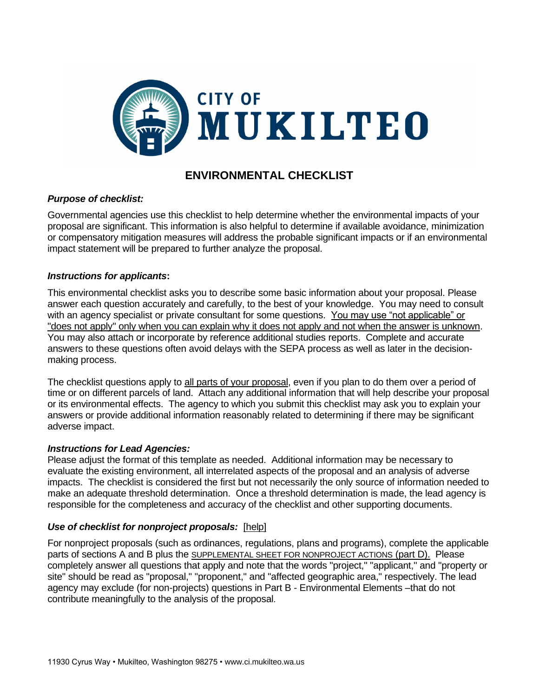

# **ENVIRONMENTAL CHECKLIST**

# *Purpose of checklist:*

Governmental agencies use this checklist to help determine whether the environmental impacts of your proposal are significant. This information is also helpful to determine if available avoidance, minimization or compensatory mitigation measures will address the probable significant impacts or if an environmental impact statement will be prepared to further analyze the proposal.

# *Instructions for applicants***:**

This environmental checklist asks you to describe some basic information about your proposal. Please answer each question accurately and carefully, to the best of your knowledge. You may need to consult with an agency specialist or private consultant for some questions. You may use "not applicable" or "does not apply" only when you can explain why it does not apply and not when the answer is unknown. You may also attach or incorporate by reference additional studies reports. Complete and accurate answers to these questions often avoid delays with the SEPA process as well as later in the decisionmaking process.

The checklist questions apply to all parts of your proposal, even if you plan to do them over a period of time or on different parcels of land. Attach any additional information that will help describe your proposal or its environmental effects. The agency to which you submit this checklist may ask you to explain your answers or provide additional information reasonably related to determining if there may be significant adverse impact.

# *Instructions for Lead Agencies:*

Please adjust the format of this template as needed. Additional information may be necessary to evaluate the existing environment, all interrelated aspects of the proposal and an analysis of adverse impacts. The checklist is considered the first but not necessarily the only source of information needed to make an adequate threshold determination. Once a threshold determination is made, the lead agency is responsible for the completeness and accuracy of the checklist and other supporting documents.

# *Use of checklist for nonproject proposals:* [\[help\]](http://www.ecy.wa.gov/programs/sea/sepa/apguide/EnvChecklistGuidance.html#Nonproject)

For nonproject proposals (such as ordinances, regulations, plans and programs), complete the applicable parts of sections A and B plus the SUPPLEMENTAL SHEET FOR NONPROJECT ACTIONS (part D). Please completely answer all questions that apply and note that the words "project," "applicant," and "property or site" should be read as "proposal," "proponent," and "affected geographic area," respectively. The lead agency may exclude (for non-projects) questions in Part B - Environmental Elements –that do not contribute meaningfully to the analysis of the proposal.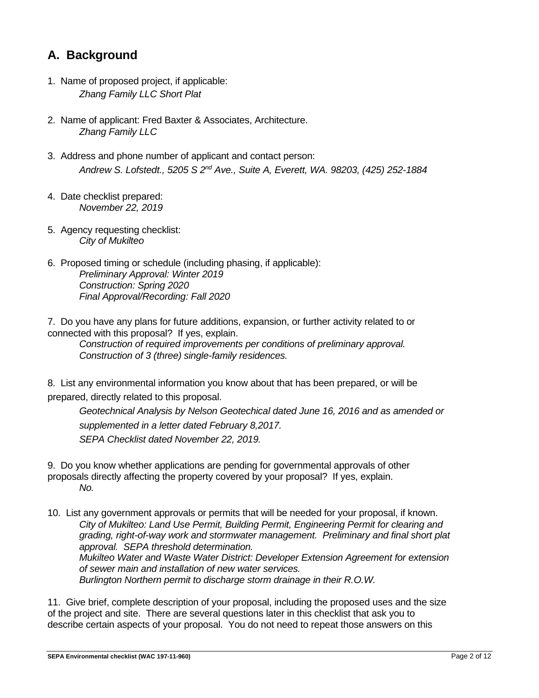# **A. Background**

- 1. Name of proposed project, if applicable: *Zhang Family LLC Short Plat*
- 2. Name of applicant: Fred Baxter & Associates, Architecture. *Zhang Family LLC*
- 3. Address and phone number of applicant and contact person: *Andrew S. Lofstedt., 5205 S 2nd Ave., Suite A, Everett, WA. 98203, (425) 252-1884*
- 4. Date checklist prepared: *November 22, 2019*
- 5. Agency requesting checklist: *City of Mukilteo*
- 6. Proposed timing or schedule (including phasing, if applicable): *Preliminary Approval: Winter 2019 Construction: Spring 2020 Final Approval/Recording: Fall 2020*

7. Do you have any plans for future additions, expansion, or further activity related to or connected with this proposal? If yes, explain.

*Construction of required improvements per conditions of preliminary approval. Construction of 3 (three) single-family residences.* 

8. List any environmental information you know about that has been prepared, or will be prepared, directly related to this proposal.

*Geotechnical Analysis by Nelson Geotechical dated June 16, 2016 and as amended or supplemented in a letter dated February 8,2017. SEPA Checklist dated November 22, 2019.*

- 9. Do you know whether applications are pending for governmental approvals of other proposals directly affecting the property covered by your proposal? If yes, explain. *No.*
- 10. List any government approvals or permits that will be needed for your proposal, if known. *City of Mukilteo: Land Use Permit, Building Permit, Engineering Permit for clearing and grading, right-of-way work and stormwater management. Preliminary and final short plat approval. SEPA threshold determination. Mukilteo Water and Waste Water District: Developer Extension Agreement for extension of sewer main and installation of new water services. Burlington Northern permit to discharge storm drainage in their R.O.W.*

11. Give brief, complete description of your proposal, including the proposed uses and the size of the project and site. There are several questions later in this checklist that ask you to describe certain aspects of your proposal. You do not need to repeat those answers on this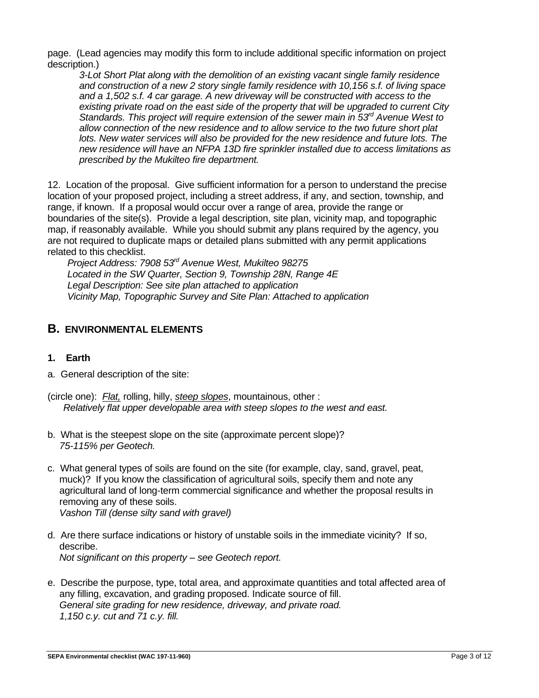page. (Lead agencies may modify this form to include additional specific information on project description.)

*3-Lot Short Plat along with the demolition of an existing vacant single family residence and construction of a new 2 story single family residence with 10,156 s.f. of living space and a 1,502 s.f. 4 car garage. A new driveway will be constructed with access to the existing private road on the east side of the property that will be upgraded to current City Standards. This project will require extension of the sewer main in 53rd Avenue West to allow connection of the new residence and to allow service to the two future short plat* lots. New water services will also be provided for the new residence and future lots. The *new residence will have an NFPA 13D fire sprinkler installed due to access limitations as prescribed by the Mukilteo fire department.*

12. Location of the proposal. Give sufficient information for a person to understand the precise location of your proposed project, including a street address, if any, and section, township, and range, if known. If a proposal would occur over a range of area, provide the range or boundaries of the site(s). Provide a legal description, site plan, vicinity map, and topographic map, if reasonably available. While you should submit any plans required by the agency, you are not required to duplicate maps or detailed plans submitted with any permit applications related to this checklist.

*Project Address: 7908 53rd Avenue West, Mukilteo 98275 Located in the SW Quarter, Section 9, Township 28N, Range 4E Legal Description: See site plan attached to application Vicinity Map, Topographic Survey and Site Plan: Attached to application*

# **B. ENVIRONMENTAL ELEMENTS**

# **1. Earth**

- a. General description of the site:
- (circle one): *Flat,* rolling, hilly, *steep slopes*, mountainous, other : *Relatively flat upper developable area with steep slopes to the west and east.*
- b. What is the steepest slope on the site (approximate percent slope)? *75-115% per Geotech.*
- c. What general types of soils are found on the site (for example, clay, sand, gravel, peat, muck)? If you know the classification of agricultural soils, specify them and note any agricultural land of long-term commercial significance and whether the proposal results in removing any of these soils. *Vashon Till (dense silty sand with gravel)*
- d. Are there surface indications or history of unstable soils in the immediate vicinity? If so, describe. *Not significant on this property – see Geotech report.*
- e. Describe the purpose, type, total area, and approximate quantities and total affected area of any filling, excavation, and grading proposed. Indicate source of fill. *General site grading for new residence, driveway, and private road. 1,150 c.y. cut and 71 c.y. fill.*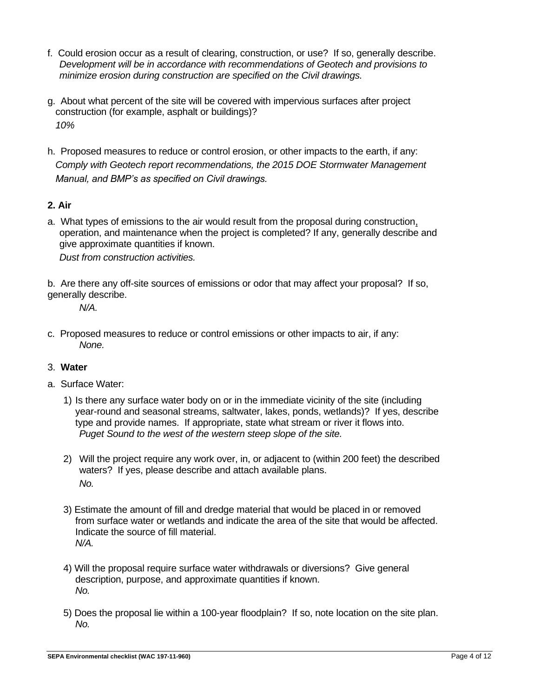- f. Could erosion occur as a result of clearing, construction, or use? If so, generally describe. *Development will be in accordance with recommendations of Geotech and provisions to minimize erosion during construction are specified on the Civil drawings.*
- g. About what percent of the site will be covered with impervious surfaces after project construction (for example, asphalt or buildings)? *10%*
- h. Proposed measures to reduce or control erosion, or other impacts to the earth, if any: *Comply with Geotech report recommendations, the 2015 DOE Stormwater Management Manual, and BMP's as specified on Civil drawings.*

# **2. Air**

- a. What types of emissions to the air would result from the proposal during construction, operation, and maintenance when the project is completed? If any, generally describe and give approximate quantities if known. *Dust from construction activities.*
- b. Are there any off-site sources of emissions or odor that may affect your proposal? If so, generally describe.

*N/A.*

c. Proposed measures to reduce or control emissions or other impacts to air, if any: *None.*

# 3. **Water**

- a. Surface Water:
	- 1) Is there any surface water body on or in the immediate vicinity of the site (including year-round and seasonal streams, saltwater, lakes, ponds, wetlands)? If yes, describe type and provide names. If appropriate, state what stream or river it flows into. *Puget Sound to the west of the western steep slope of the site.*
	- 2) Will the project require any work over, in, or adjacent to (within 200 feet) the described waters? If yes, please describe and attach available plans. *No.*
	- 3) Estimate the amount of fill and dredge material that would be placed in or removed from surface water or wetlands and indicate the area of the site that would be affected. Indicate the source of fill material. *N/A.*
	- 4) Will the proposal require surface water withdrawals or diversions? Give general description, purpose, and approximate quantities if known. *No.*
	- 5) Does the proposal lie within a 100-year floodplain? If so, note location on the site plan. *No.*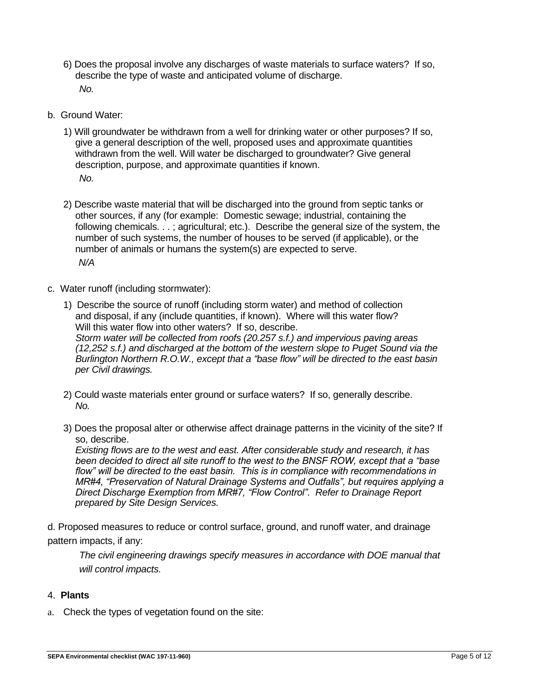- 6) Does the proposal involve any discharges of waste materials to surface waters? If so, describe the type of waste and anticipated volume of discharge. *No.*
- b. Ground Water:
	- 1) Will groundwater be withdrawn from a well for drinking water or other purposes? If so, give a general description of the well, proposed uses and approximate quantities withdrawn from the well. Will water be discharged to groundwater? Give general description, purpose, and approximate quantities if known. *No.*
	- 2) Describe waste material that will be discharged into the ground from septic tanks or other sources, if any (for example: Domestic sewage; industrial, containing the following chemicals. . . ; agricultural; etc.). Describe the general size of the system, the number of such systems, the number of houses to be served (if applicable), or the number of animals or humans the system(s) are expected to serve. *N/A*
- c. Water runoff (including stormwater):
	- 1) Describe the source of runoff (including storm water) and method of collection and disposal, if any (include quantities, if known). Where will this water flow? Will this water flow into other waters? If so, describe. *Storm water will be collected from roofs (20.257 s.f.) and impervious paving areas (12,252 s.f.) and discharged at the bottom of the western slope to Puget Sound via the Burlington Northern R.O.W., except that a "base flow" will be directed to the east basin per Civil drawings.*
	- 2) Could waste materials enter ground or surface waters? If so, generally describe. *No.*
	- 3) Does the proposal alter or otherwise affect drainage patterns in the vicinity of the site? If so, describe.

*Existing flows are to the west and east. After considerable study and research, it has been decided to direct all site runoff to the west to the BNSF ROW, except that a "base*  flow" will be directed to the east basin. This is in compliance with recommendations in *MR#4, "Preservation of Natural Drainage Systems and Outfalls", but requires applying a Direct Discharge Exemption from MR#7, "Flow Control". Refer to Drainage Report prepared by Site Design Services.*

d. Proposed measures to reduce or control surface, ground, and runoff water, and drainage pattern impacts, if any:

*The civil engineering drawings specify measures in accordance with DOE manual that will control impacts.*

# 4. **Plants**

a. Check the types of vegetation found on the site: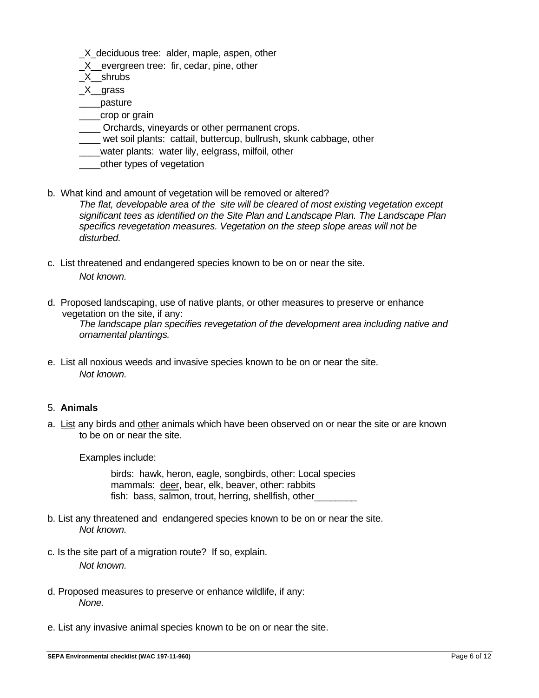\_X\_deciduous tree: alder, maple, aspen, other

\_X\_\_evergreen tree: fir, cedar, pine, other

\_X\_\_shrubs

\_X\_\_grass

\_\_\_\_pasture

- \_\_\_crop or grain
- \_\_\_\_ Orchards, vineyards or other permanent crops.
- wet soil plants: cattail, buttercup, bullrush, skunk cabbage, other
- \_\_\_\_water plants: water lily, eelgrass, milfoil, other
- \_\_\_\_other types of vegetation
- b. What kind and amount of vegetation will be removed or altered? *The flat, developable area of the site will be cleared of most existing vegetation except significant tees as identified on the Site Plan and Landscape Plan. The Landscape Plan specifics revegetation measures. Vegetation on the steep slope areas will not be disturbed.*
- c. List threatened and endangered species known to be on or near the site. *Not known.*
- d. Proposed landscaping, use of native plants, or other measures to preserve or enhance vegetation on the site, if any: *The landscape plan specifies revegetation of the development area including native and ornamental plantings.*
- e. List all noxious weeds and invasive species known to be on or near the site. *Not known.*

# 5. **Animals**

a. List any birds and other animals which have been observed on or near the site or are known to be on or near the site.

Examples include:

birds: hawk, heron, eagle, songbirds, other: Local species mammals: deer, bear, elk, beaver, other: rabbits fish: bass, salmon, trout, herring, shellfish, other

- b. List any threatened and endangered species known to be on or near the site. *Not known.*
- c. Is the site part of a migration route? If so, explain. *Not known.*
- d. Proposed measures to preserve or enhance wildlife, if any: *None.*
- e. List any invasive animal species known to be on or near the site.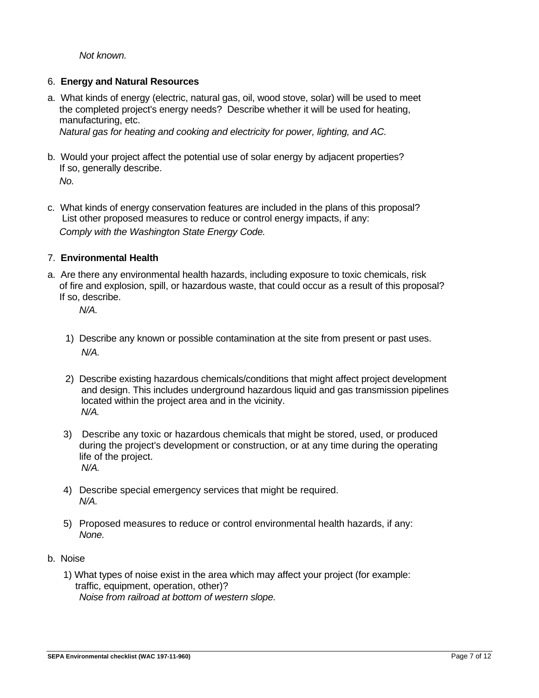*Not known.*

# 6. **Energy and Natural Resources**

a. What kinds of energy (electric, natural gas, oil, wood stove, solar) will be used to meet the completed project's energy needs? Describe whether it will be used for heating, manufacturing, etc. *Natural gas for heating and cooking and electricity for power, lighting, and AC.* 

b. Would your project affect the potential use of solar energy by adjacent properties? If so, generally describe.

*No.*

c. What kinds of energy conservation features are included in the plans of this proposal? List other proposed measures to reduce or control energy impacts, if any: *Comply with the Washington State Energy Code.*

# 7. **Environmental Health**

a. Are there any environmental health hazards, including exposure to toxic chemicals, risk of fire and explosion, spill, or hazardous waste, that could occur as a result of this proposal? If so, describe.

*N/A.*

- 1) Describe any known or possible contamination at the site from present or past uses. *N/A.*
- 2) Describe existing hazardous chemicals/conditions that might affect project development and design. This includes underground hazardous liquid and gas transmission pipelines located within the project area and in the vicinity. *N/A.*
- 3) Describe any toxic or hazardous chemicals that might be stored, used, or produced during the project's development or construction, or at any time during the operating life of the project. *N/A.*
- 4) Describe special emergency services that might be required. *N/A.*
- 5) Proposed measures to reduce or control environmental health hazards, if any: *None.*

# b.Noise

1) What types of noise exist in the area which may affect your project (for example: traffic, equipment, operation, other)? *Noise from railroad at bottom of western slope.*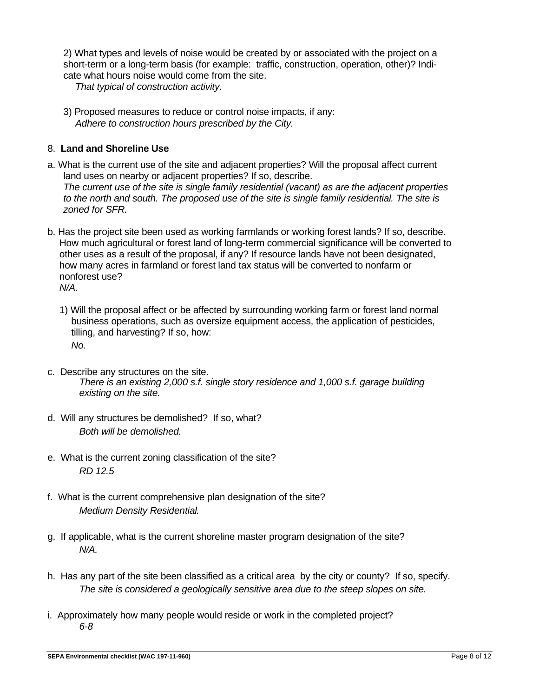2) What types and levels of noise would be created by or associated with the project on a short-term or a long-term basis (for example: traffic, construction, operation, other)? Indicate what hours noise would come from the site.

*That typical of construction activity.*

3) Proposed measures to reduce or control noise impacts, if any: *Adhere to construction hours prescribed by the City.*

# 8. **Land and Shoreline Use**

- a. What is the current use of the site and adjacent properties? Will the proposal affect current land uses on nearby or adjacent properties? If so, describe. *The current use of the site is single family residential (vacant) as are the adjacent properties to the north and south. The proposed use of the site is single family residential. The site is zoned for SFR.*
- b. Has the project site been used as working farmlands or working forest lands? If so, describe. How much agricultural or forest land of long-term commercial significance will be converted to other uses as a result of the proposal, if any? If resource lands have not been designated, how many acres in farmland or forest land tax status will be converted to nonfarm or nonforest use? *N/A.*
	- 1) Will the proposal affect or be affected by surrounding working farm or forest land normal business operations, such as oversize equipment access, the application of pesticides, tilling, and harvesting? If so, how: *No.*
- c. Describe any structures on the site. *There is an existing 2,000 s.f. single story residence and 1,000 s.f. garage building existing on the site.*
- d. Will any structures be demolished? If so, what? *Both will be demolished.*
- e. What is the current zoning classification of the site? *RD 12.5*
- f. What is the current comprehensive plan designation of the site? *Medium Density Residential.*
- g. If applicable, what is the current shoreline master program designation of the site? *N/A.*
- h. Has any part of the site been classified as a critical area by the city or county? If so, specify. *The site is considered a geologically sensitive area due to the steep slopes on site.*
- i. Approximately how many people would reside or work in the completed project? *6-8*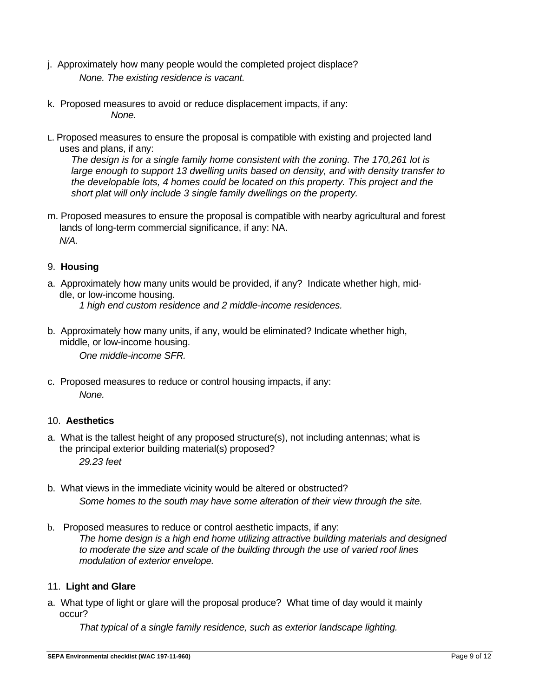- j. Approximately how many people would the completed project displace? *None. The existing residence is vacant.*
- k. Proposed measures to avoid or reduce displacement impacts, if any: *None.*
- L. Proposed measures to ensure the proposal is compatible with existing and projected land uses and plans, if any:

*The design is for a single family home consistent with the zoning. The 170,261 lot is large enough to support 13 dwelling units based on density, and with density transfer to the developable lots, 4 homes could be located on this property. This project and the short plat will only include 3 single family dwellings on the property.*

m. Proposed measures to ensure the proposal is compatible with nearby agricultural and forest lands of long-term commercial significance, if any: NA. *N/A.*

# 9. **Housing**

- a. Approximately how many units would be provided, if any? Indicate whether high, middle, or low-income housing. *1 high end custom residence and 2 middle-income residences.*
- b. Approximately how many units, if any, would be eliminated? Indicate whether high, middle, or low-income housing.

*One middle-income SFR.*

c. Proposed measures to reduce or control housing impacts, if any: *None.*

# 10. **Aesthetics**

- a. What is the tallest height of any proposed structure(s), not including antennas; what is the principal exterior building material(s) proposed? *29.23 feet*
- b. What views in the immediate vicinity would be altered or obstructed? *Some homes to the south may have some alteration of their view through the site.*
- b. Proposed measures to reduce or control aesthetic impacts, if any: *The home design is a high end home utilizing attractive building materials and designed to moderate the size and scale of the building through the use of varied roof lines modulation of exterior envelope.*

# 11. **Light and Glare**

a. What type of light or glare will the proposal produce? What time of day would it mainly occur?

*That typical of a single family residence, such as exterior landscape lighting.*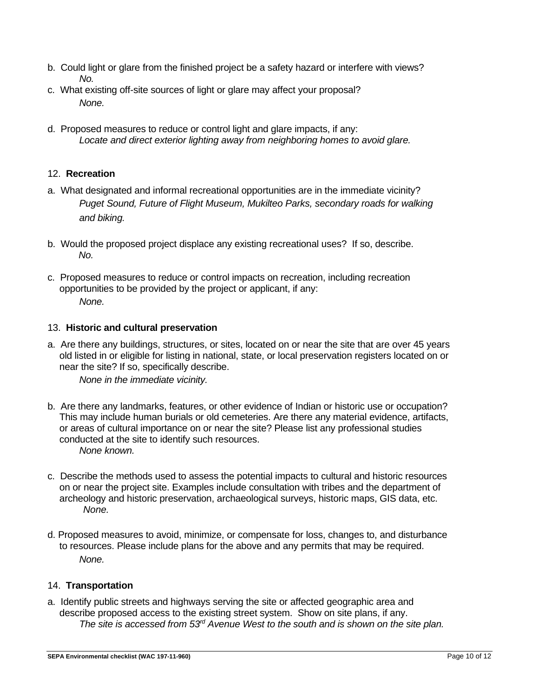- b. Could light or glare from the finished project be a safety hazard or interfere with views? *No.*
- c. What existing off-site sources of light or glare may affect your proposal? *None.*
- d. Proposed measures to reduce or control light and glare impacts, if any: *Locate and direct exterior lighting away from neighboring homes to avoid glare.*

# 12. **Recreation**

- a. What designated and informal recreational opportunities are in the immediate vicinity? *Puget Sound, Future of Flight Museum, Mukilteo Parks, secondary roads for walking and biking.*
- b. Would the proposed project displace any existing recreational uses? If so, describe. *No.*
- c. Proposed measures to reduce or control impacts on recreation, including recreation opportunities to be provided by the project or applicant, if any: *None.*

# 13. **Historic and cultural preservation**

a. Are there any buildings, structures, or sites, located on or near the site that are over 45 years old listed in or eligible for listing in national, state, or local preservation registers located on or near the site? If so, specifically describe.

*None in the immediate vicinity.*

- b. Are there any landmarks, features, or other evidence of Indian or historic use or occupation? This may include human burials or old cemeteries. Are there any material evidence, artifacts, or areas of cultural importance on or near the site? Please list any professional studies conducted at the site to identify such resources. *None known.*
- c. Describe the methods used to assess the potential impacts to cultural and historic resources on or near the project site. Examples include consultation with tribes and the department of archeology and historic preservation, archaeological surveys, historic maps, GIS data, etc. *None.*
- d. Proposed measures to avoid, minimize, or compensate for loss, changes to, and disturbance to resources. Please include plans for the above and any permits that may be required. *None.*

# 14. **Transportation**

a. Identify public streets and highways serving the site or affected geographic area and describe proposed access to the existing street system. Show on site plans, if any. *The site is accessed from 53rd Avenue West to the south and is shown on the site plan.*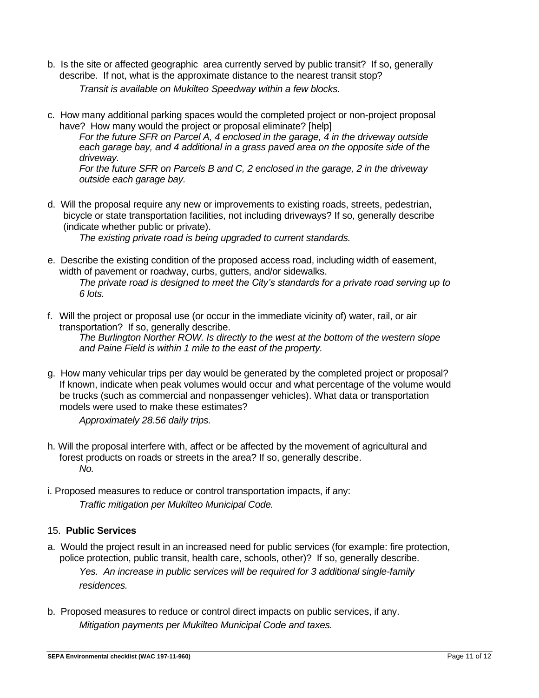- b. Is the site or affected geographic area currently served by public transit? If so, generally describe. If not, what is the approximate distance to the nearest transit stop? *Transit is available on Mukilteo Speedway within a few blocks.*
- c. How many additional parking spaces would the completed project or non-project proposal have? How many would the project or proposal eliminate? [\[help\]](http://www.ecy.wa.gov/programs/sea/sepa/ChecklistGuidance.html#Transportation)

*For the future SFR on Parcel A, 4 enclosed in the garage, 4 in the driveway outside each garage bay, and 4 additional in a grass paved area on the opposite side of the driveway.*

*For the future SFR on Parcels B and C, 2 enclosed in the garage, 2 in the driveway outside each garage bay.*

d. Will the proposal require any new or improvements to existing roads, streets, pedestrian, bicycle or state transportation facilities, not including driveways? If so, generally describe (indicate whether public or private).

*The existing private road is being upgraded to current standards.*

- e. Describe the existing condition of the proposed access road, including width of easement, width of pavement or roadway, curbs, gutters, and/or sidewalks. *The private road is designed to meet the City's standards for a private road serving up to 6 lots.*
- f. Will the project or proposal use (or occur in the immediate vicinity of) water, rail, or air transportation? If so, generally describe. *The Burlington Norther ROW. Is directly to the west at the bottom of the western slope and Paine Field is within 1 mile to the east of the property.*
- g. How many vehicular trips per day would be generated by the completed project or proposal? If known, indicate when peak volumes would occur and what percentage of the volume would be trucks (such as commercial and nonpassenger vehicles). What data or transportation models were used to make these estimates?

*Approximately 28.56 daily trips.*

- h. Will the proposal interfere with, affect or be affected by the movement of agricultural and forest products on roads or streets in the area? If so, generally describe. *No.*
- i. Proposed measures to reduce or control transportation impacts, if any: *Traffic mitigation per Mukilteo Municipal Code.*

# 15. **Public Services**

- a. Would the project result in an increased need for public services (for example: fire protection, police protection, public transit, health care, schools, other)? If so, generally describe. *Yes. An increase in public services will be required for 3 additional single-family residences.*
- b. Proposed measures to reduce or control direct impacts on public services, if any. *Mitigation payments per Mukilteo Municipal Code and taxes.*